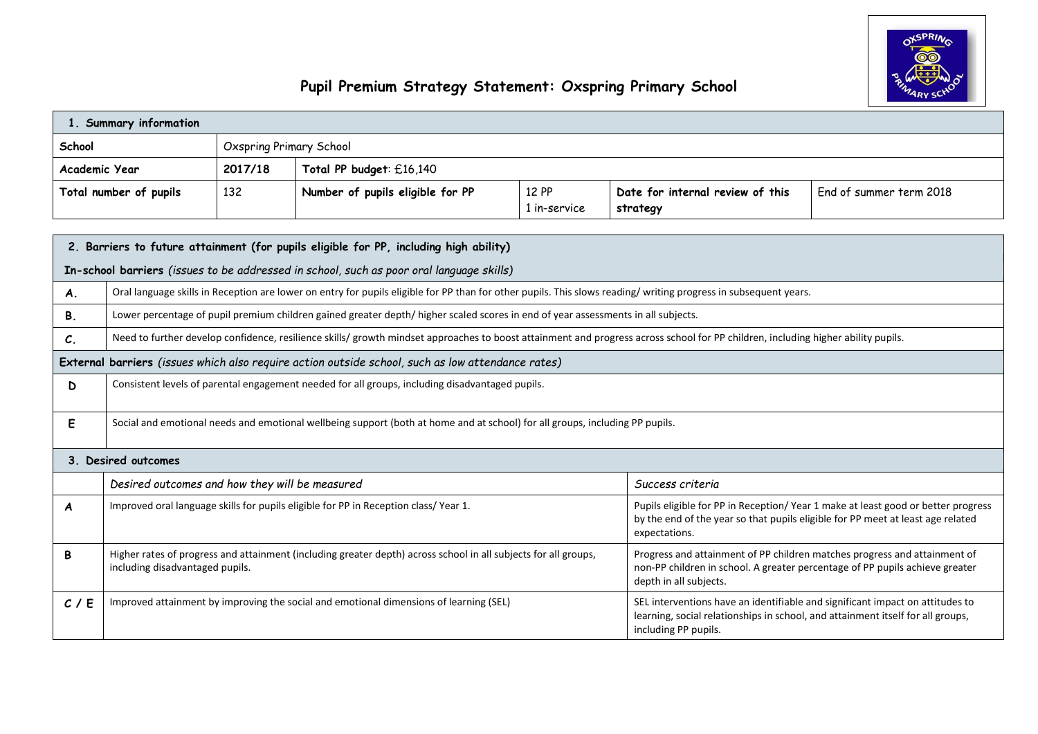

## **Pupil Premium Strategy Statement: Oxspring Primary School**

| 1. Summary information |                                                                                                                                                                                                                                                                                                                                           |         |                                                                                                                                                                                   |                       |                                              |                                                                                                                                                                  |  |  |  |  |  |
|------------------------|-------------------------------------------------------------------------------------------------------------------------------------------------------------------------------------------------------------------------------------------------------------------------------------------------------------------------------------------|---------|-----------------------------------------------------------------------------------------------------------------------------------------------------------------------------------|-----------------------|----------------------------------------------|------------------------------------------------------------------------------------------------------------------------------------------------------------------|--|--|--|--|--|
| School                 |                                                                                                                                                                                                                                                                                                                                           |         | <b>Oxspring Primary School</b>                                                                                                                                                    |                       |                                              |                                                                                                                                                                  |  |  |  |  |  |
| Academic Year          |                                                                                                                                                                                                                                                                                                                                           | 2017/18 | Total PP budget: £16,140                                                                                                                                                          |                       |                                              |                                                                                                                                                                  |  |  |  |  |  |
|                        | Total number of pupils                                                                                                                                                                                                                                                                                                                    | 132     | Number of pupils eligible for PP                                                                                                                                                  | 12 PP<br>1 in-service | Date for internal review of this<br>strategy | End of summer term 2018                                                                                                                                          |  |  |  |  |  |
|                        |                                                                                                                                                                                                                                                                                                                                           |         |                                                                                                                                                                                   |                       |                                              |                                                                                                                                                                  |  |  |  |  |  |
|                        |                                                                                                                                                                                                                                                                                                                                           |         | 2. Barriers to future attainment (for pupils eligible for PP, including high ability)                                                                                             |                       |                                              |                                                                                                                                                                  |  |  |  |  |  |
|                        |                                                                                                                                                                                                                                                                                                                                           |         | In-school barriers (issues to be addressed in school, such as poor oral language skills)                                                                                          |                       |                                              |                                                                                                                                                                  |  |  |  |  |  |
| <b>A.</b>              |                                                                                                                                                                                                                                                                                                                                           |         | Oral language skills in Reception are lower on entry for pupils eligible for PP than for other pupils. This slows reading/ writing progress in subsequent years.                  |                       |                                              |                                                                                                                                                                  |  |  |  |  |  |
| <b>B.</b>              |                                                                                                                                                                                                                                                                                                                                           |         | Lower percentage of pupil premium children gained greater depth/ higher scaled scores in end of year assessments in all subjects.                                                 |                       |                                              |                                                                                                                                                                  |  |  |  |  |  |
| $\mathcal{C}.$         |                                                                                                                                                                                                                                                                                                                                           |         | Need to further develop confidence, resilience skills/ growth mindset approaches to boost attainment and progress across school for PP children, including higher ability pupils. |                       |                                              |                                                                                                                                                                  |  |  |  |  |  |
|                        |                                                                                                                                                                                                                                                                                                                                           |         | External barriers (issues which also require action outside school, such as low attendance rates)                                                                                 |                       |                                              |                                                                                                                                                                  |  |  |  |  |  |
| D                      |                                                                                                                                                                                                                                                                                                                                           |         | Consistent levels of parental engagement needed for all groups, including disadvantaged pupils.                                                                                   |                       |                                              |                                                                                                                                                                  |  |  |  |  |  |
| E                      |                                                                                                                                                                                                                                                                                                                                           |         | Social and emotional needs and emotional wellbeing support (both at home and at school) for all groups, including PP pupils.                                                      |                       |                                              |                                                                                                                                                                  |  |  |  |  |  |
|                        | 3. Desired outcomes                                                                                                                                                                                                                                                                                                                       |         |                                                                                                                                                                                   |                       |                                              |                                                                                                                                                                  |  |  |  |  |  |
|                        | Desired outcomes and how they will be measured                                                                                                                                                                                                                                                                                            |         |                                                                                                                                                                                   |                       | Success criteria                             |                                                                                                                                                                  |  |  |  |  |  |
| A                      | Improved oral language skills for pupils eligible for PP in Reception class/Year 1.<br>Pupils eligible for PP in Reception/Year 1 make at least good or better progress<br>by the end of the year so that pupils eligible for PP meet at least age related<br>expectations.                                                               |         |                                                                                                                                                                                   |                       |                                              |                                                                                                                                                                  |  |  |  |  |  |
| B                      | Progress and attainment of PP children matches progress and attainment of<br>Higher rates of progress and attainment (including greater depth) across school in all subjects for all groups,<br>non-PP children in school. A greater percentage of PP pupils achieve greater<br>including disadvantaged pupils.<br>depth in all subjects. |         |                                                                                                                                                                                   |                       |                                              |                                                                                                                                                                  |  |  |  |  |  |
| C / E                  |                                                                                                                                                                                                                                                                                                                                           |         | Improved attainment by improving the social and emotional dimensions of learning (SEL)                                                                                            |                       | including PP pupils.                         | SEL interventions have an identifiable and significant impact on attitudes to<br>learning, social relationships in school, and attainment itself for all groups, |  |  |  |  |  |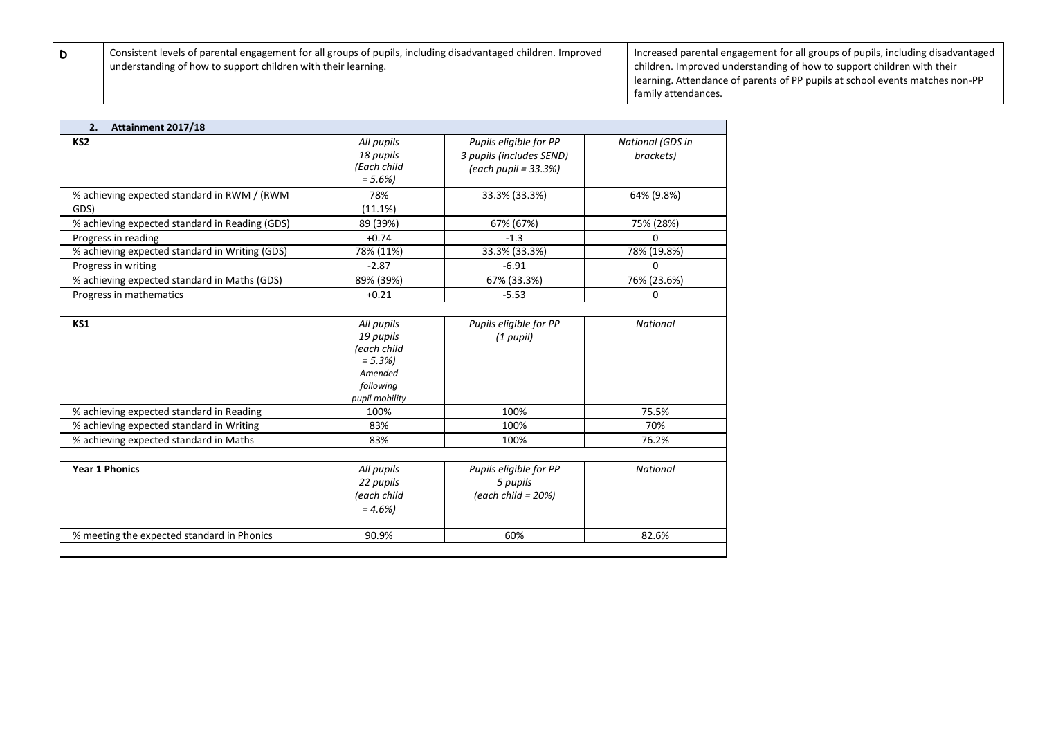**D** Consistent levels of parental engagement for all groups of pupils, including disadvantaged children. Improved understanding of how to support children with their learning.

Increased parental engagement for all groups of pupils, including disadvantaged children. Improved understanding of how to support children with their learning. Attendance of parents of PP pupils at school events matches non-PP family attendances.

| 2.<br>Attainment 2017/18                             |                                                                                              |                                                                                  |                                      |
|------------------------------------------------------|----------------------------------------------------------------------------------------------|----------------------------------------------------------------------------------|--------------------------------------|
| KS <sub>2</sub>                                      | All pupils<br>18 pupils<br>(Each child<br>$= 5.6\%$                                          | Pupils eligible for PP<br>3 pupils (includes SEND)<br>$\{each \; pupil = 33.3\%$ | <b>National (GDS in</b><br>brackets) |
| % achieving expected standard in RWM / (RWM)<br>GDS) | 78%<br>(11.1%)                                                                               | 33.3% (33.3%)                                                                    | 64% (9.8%)                           |
| % achieving expected standard in Reading (GDS)       | 89 (39%)                                                                                     | 67% (67%)                                                                        | 75% (28%)                            |
| Progress in reading                                  | $+0.74$                                                                                      | $-1.3$                                                                           | 0                                    |
| % achieving expected standard in Writing (GDS)       | 78% (11%)                                                                                    | 33.3% (33.3%)                                                                    | 78% (19.8%)                          |
| Progress in writing                                  | $-2.87$                                                                                      | $-6.91$                                                                          | U                                    |
| % achieving expected standard in Maths (GDS)         | 89% (39%)                                                                                    | 67% (33.3%)                                                                      | 76% (23.6%)                          |
| Progress in mathematics                              | $+0.21$                                                                                      | $-5.53$                                                                          | 0                                    |
|                                                      |                                                                                              |                                                                                  |                                      |
| KS1                                                  | All pupils<br>19 pupils<br>(each child<br>$= 5.3%$<br>Amended<br>following<br>pupil mobility | Pupils eligible for PP<br>$(1$ pupil)                                            | <b>National</b>                      |
| % achieving expected standard in Reading             | 100%                                                                                         | 100%                                                                             | 75.5%                                |
| % achieving expected standard in Writing             | 83%                                                                                          | 100%                                                                             | 70%                                  |
| % achieving expected standard in Maths               | 83%                                                                                          | 100%                                                                             | 76.2%                                |
| <b>Year 1 Phonics</b>                                | All pupils<br>22 pupils<br>(each child<br>$= 4.6\%$                                          | Pupils eligible for PP<br>5 pupils<br>(each child = $20\%$ )                     | <b>National</b>                      |
| % meeting the expected standard in Phonics           | 90.9%                                                                                        | 60%                                                                              | 82.6%                                |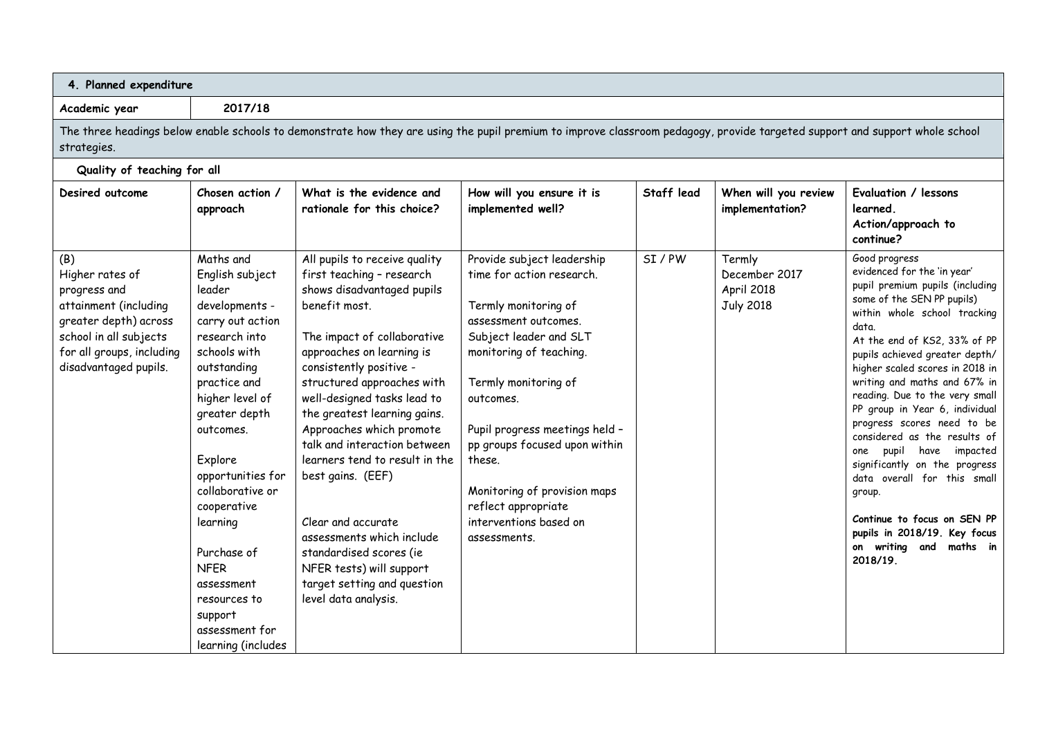## **4. Planned expenditure**

**Academic year 2017/18**

 $\mathbf{I}$ 

The three headings below enable schools to demonstrate how they are using the pupil premium to improve classroom pedagogy, provide targeted support and support whole school strategies.

| Quality of teaching for all                                                                                                                                              |                                                                                                                                                                                                                                                                                                                                                                                             |                                                                                                                                                                                                                                                                                                                                                                                                                                                                                                                                                                                   |                                                                                                                                                                                                                                                                                                                                                                                 |            |                                                           |                                                                                                                                                                                                                                                                                                                                                                                                                                                                                                                                                                                                                                                |  |  |
|--------------------------------------------------------------------------------------------------------------------------------------------------------------------------|---------------------------------------------------------------------------------------------------------------------------------------------------------------------------------------------------------------------------------------------------------------------------------------------------------------------------------------------------------------------------------------------|-----------------------------------------------------------------------------------------------------------------------------------------------------------------------------------------------------------------------------------------------------------------------------------------------------------------------------------------------------------------------------------------------------------------------------------------------------------------------------------------------------------------------------------------------------------------------------------|---------------------------------------------------------------------------------------------------------------------------------------------------------------------------------------------------------------------------------------------------------------------------------------------------------------------------------------------------------------------------------|------------|-----------------------------------------------------------|------------------------------------------------------------------------------------------------------------------------------------------------------------------------------------------------------------------------------------------------------------------------------------------------------------------------------------------------------------------------------------------------------------------------------------------------------------------------------------------------------------------------------------------------------------------------------------------------------------------------------------------------|--|--|
| Desired outcome                                                                                                                                                          | Chosen action /<br>approach                                                                                                                                                                                                                                                                                                                                                                 | What is the evidence and<br>rationale for this choice?                                                                                                                                                                                                                                                                                                                                                                                                                                                                                                                            | How will you ensure it is<br>implemented well?                                                                                                                                                                                                                                                                                                                                  | Staff lead | When will you review<br>implementation?                   | Evaluation / lessons<br>learned.<br>Action/approach to<br>continue?                                                                                                                                                                                                                                                                                                                                                                                                                                                                                                                                                                            |  |  |
| (B)<br>Higher rates of<br>progress and<br>attainment (including<br>greater depth) across<br>school in all subjects<br>for all groups, including<br>disadvantaged pupils. | Maths and<br>English subject<br>leader<br>developments -<br>carry out action<br>research into<br>schools with<br>outstanding<br>practice and<br>higher level of<br>greater depth<br>outcomes.<br>Explore<br>opportunities for<br>collaborative or<br>cooperative<br>learning<br>Purchase of<br><b>NFER</b><br>assessment<br>resources to<br>support<br>assessment for<br>learning (includes | All pupils to receive quality<br>first teaching - research<br>shows disadvantaged pupils<br>benefit most.<br>The impact of collaborative<br>approaches on learning is<br>consistently positive -<br>structured approaches with<br>well-designed tasks lead to<br>the greatest learning gains.<br>Approaches which promote<br>talk and interaction between<br>learners tend to result in the<br>best gains. (EEF)<br>Clear and accurate<br>assessments which include<br>standardised scores (ie<br>NFER tests) will support<br>target setting and question<br>level data analysis. | Provide subject leadership<br>time for action research.<br>Termly monitoring of<br>assessment outcomes.<br>Subject leader and SLT<br>monitoring of teaching.<br>Termly monitoring of<br>outcomes.<br>Pupil progress meetings held -<br>pp groups focused upon within<br>these.<br>Monitoring of provision maps<br>reflect appropriate<br>interventions based on<br>assessments. | SI/PW      | Termly<br>December 2017<br>April 2018<br><b>July 2018</b> | Good progress<br>evidenced for the 'in year'<br>pupil premium pupils (including<br>some of the SEN PP pupils)<br>within whole school tracking<br>data.<br>At the end of KS2, 33% of PP<br>pupils achieved greater depth/<br>higher scaled scores in 2018 in<br>writing and maths and 67% in<br>reading. Due to the very small<br>PP group in Year 6, individual<br>progress scores need to be<br>considered as the results of<br>pupil<br>have impacted<br>one<br>significantly on the progress<br>data overall for this small<br>group.<br>Continue to focus on SEN PP<br>pupils in 2018/19. Key focus<br>on writing and maths in<br>2018/19. |  |  |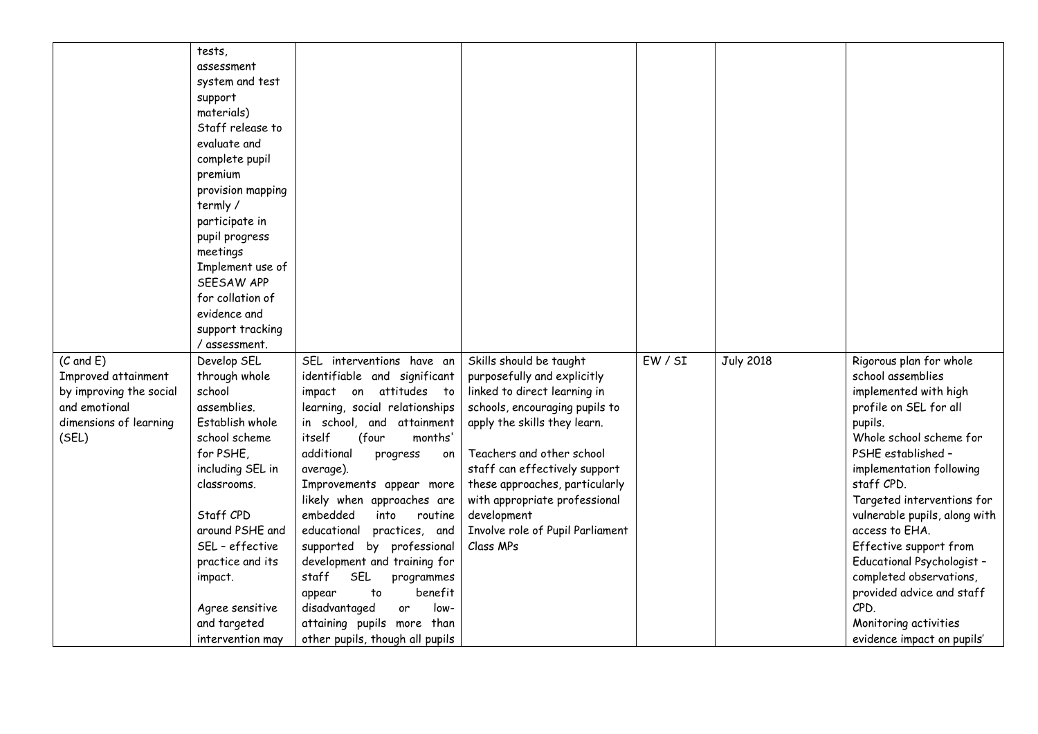|                                                                                                                            | tests,<br>assessment<br>system and test<br>support<br>materials)<br>Staff release to<br>evaluate and<br>complete pupil<br>premium<br>provision mapping<br>termly /<br>participate in<br>pupil progress                                                                             |                                                                                                                                                                                                                                                                                                                                                                                                                                                                                                                                                                               |                                                                                                                                                                                                                                                                                                                                                           |         |                  |                                                                                                                                                                                                                                                                                                                                                                                                                                                                       |
|----------------------------------------------------------------------------------------------------------------------------|------------------------------------------------------------------------------------------------------------------------------------------------------------------------------------------------------------------------------------------------------------------------------------|-------------------------------------------------------------------------------------------------------------------------------------------------------------------------------------------------------------------------------------------------------------------------------------------------------------------------------------------------------------------------------------------------------------------------------------------------------------------------------------------------------------------------------------------------------------------------------|-----------------------------------------------------------------------------------------------------------------------------------------------------------------------------------------------------------------------------------------------------------------------------------------------------------------------------------------------------------|---------|------------------|-----------------------------------------------------------------------------------------------------------------------------------------------------------------------------------------------------------------------------------------------------------------------------------------------------------------------------------------------------------------------------------------------------------------------------------------------------------------------|
|                                                                                                                            | meetings<br>Implement use of<br><b>SEESAW APP</b><br>for collation of<br>evidence and<br>support tracking<br>/ assessment.                                                                                                                                                         |                                                                                                                                                                                                                                                                                                                                                                                                                                                                                                                                                                               |                                                                                                                                                                                                                                                                                                                                                           |         |                  |                                                                                                                                                                                                                                                                                                                                                                                                                                                                       |
| $(C \text{ and } E)$<br>Improved attainment<br>by improving the social<br>and emotional<br>dimensions of learning<br>(SEL) | Develop SEL<br>through whole<br>school<br>assemblies.<br>Establish whole<br>school scheme<br>for PSHE,<br>including SEL in<br>classrooms.<br>Staff CPD<br>around PSHE and<br>SEL - effective<br>practice and its<br>impact.<br>Agree sensitive<br>and targeted<br>intervention may | SEL interventions have an<br>identifiable and significant<br>impact on attitudes to<br>learning, social relationships<br>in school, and attainment<br>itself<br>(four<br>months'<br>additional<br>progress<br>on<br>average).<br>Improvements appear more<br>likely when approaches are<br>embedded<br>into<br>routine<br>educational<br>practices, and<br>supported by professional<br>development and training for<br>staff<br>SEL<br>programmes<br>benefit<br>to<br>appear<br>disadvantaged<br>low-<br>or<br>attaining pupils more than<br>other pupils, though all pupils | Skills should be taught<br>purposefully and explicitly<br>linked to direct learning in<br>schools, encouraging pupils to<br>apply the skills they learn.<br>Teachers and other school<br>staff can effectively support<br>these approaches, particularly<br>with appropriate professional<br>development<br>Involve role of Pupil Parliament<br>Class MPs | EW / SI | <b>July 2018</b> | Rigorous plan for whole<br>school assemblies<br>implemented with high<br>profile on SEL for all<br>pupils.<br>Whole school scheme for<br>PSHE established -<br>implementation following<br>staff CPD.<br>Targeted interventions for<br>vulnerable pupils, along with<br>access to EHA.<br>Effective support from<br>Educational Psychologist -<br>completed observations,<br>provided advice and staff<br>CPD.<br>Monitoring activities<br>evidence impact on pupils' |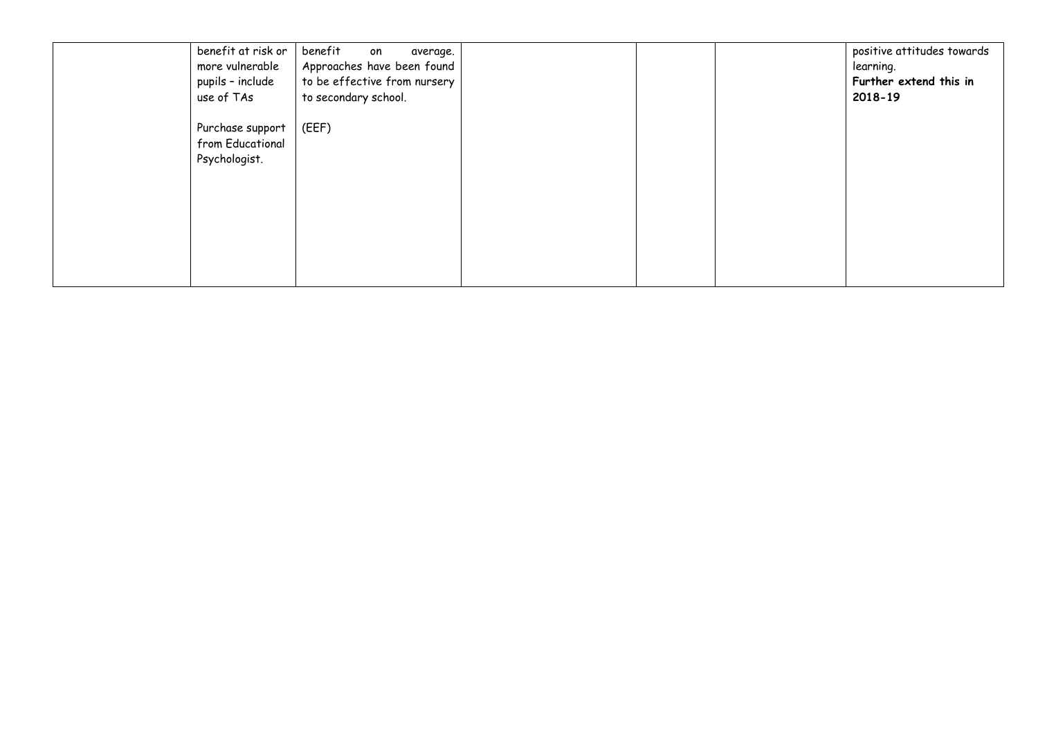| benefit at risk or<br>more vulnerable<br>pupils - include<br>use of TAs | benefit<br>average.<br>on<br>Approaches have been found<br>to be effective from nursery<br>to secondary school. |  | positive attitudes towards<br>learning.<br>Further extend this in<br>2018-19 |
|-------------------------------------------------------------------------|-----------------------------------------------------------------------------------------------------------------|--|------------------------------------------------------------------------------|
| Purchase support<br>from Educational<br>Psychologist.                   | (EEF)                                                                                                           |  |                                                                              |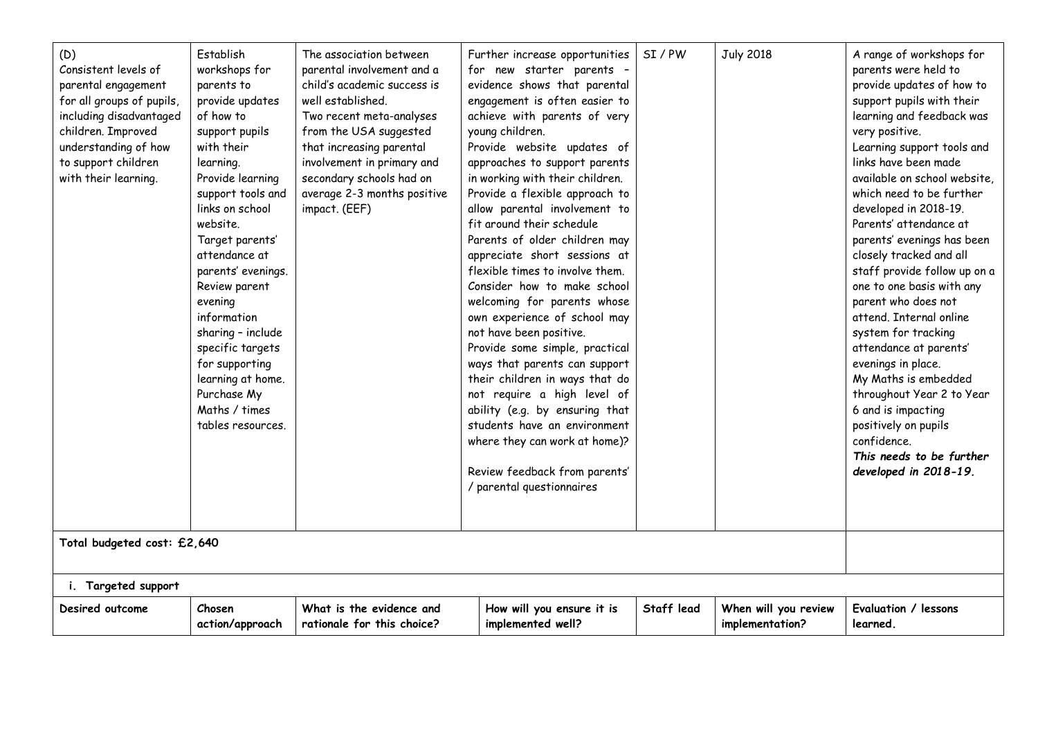| (D)<br>Consistent levels of<br>parental engagement<br>for all groups of pupils,<br>including disadvantaged<br>children. Improved<br>understanding of how<br>to support children<br>with their learning. | Establish<br>workshops for<br>parents to<br>provide updates<br>of how to<br>support pupils<br>with their<br>learning.<br>Provide learning<br>support tools and<br>links on school<br>website.<br>Target parents'<br>attendance at<br>parents' evenings.<br>Review parent<br>evening<br>information<br>sharing - include<br>specific targets<br>for supporting<br>learning at home.<br>Purchase My<br>Maths / times<br>tables resources. | The association between<br>parental involvement and a<br>child's academic success is<br>well established.<br>Two recent meta-analyses<br>from the USA suggested<br>that increasing parental<br>involvement in primary and<br>secondary schools had on<br>average 2-3 months positive<br>impact. (EEF) | Further increase opportunities<br>for new starter parents -<br>evidence shows that parental<br>engagement is often easier to<br>achieve with parents of very<br>young children.<br>Provide website updates of<br>approaches to support parents<br>in working with their children.<br>Provide a flexible approach to<br>allow parental involvement to<br>fit around their schedule<br>Parents of older children may<br>appreciate short sessions at<br>flexible times to involve them.<br>Consider how to make school<br>welcoming for parents whose<br>own experience of school may<br>not have been positive.<br>Provide some simple, practical<br>ways that parents can support<br>their children in ways that do<br>not require a high level of<br>ability (e.g. by ensuring that<br>students have an environment<br>where they can work at home)?<br>Review feedback from parents'<br>/ parental questionnaires | SI/PW      | <b>July 2018</b>                        | A range of workshops for<br>parents were held to<br>provide updates of how to<br>support pupils with their<br>learning and feedback was<br>very positive.<br>Learning support tools and<br>links have been made<br>available on school website,<br>which need to be further<br>developed in 2018-19.<br>Parents' attendance at<br>parents' evenings has been<br>closely tracked and all<br>staff provide follow up on a<br>one to one basis with any<br>parent who does not<br>attend. Internal online<br>system for tracking<br>attendance at parents'<br>evenings in place.<br>My Maths is embedded<br>throughout Year 2 to Year<br>6 and is impacting<br>positively on pupils<br>confidence.<br>This needs to be further<br>developed in 2018-19. |
|---------------------------------------------------------------------------------------------------------------------------------------------------------------------------------------------------------|-----------------------------------------------------------------------------------------------------------------------------------------------------------------------------------------------------------------------------------------------------------------------------------------------------------------------------------------------------------------------------------------------------------------------------------------|-------------------------------------------------------------------------------------------------------------------------------------------------------------------------------------------------------------------------------------------------------------------------------------------------------|---------------------------------------------------------------------------------------------------------------------------------------------------------------------------------------------------------------------------------------------------------------------------------------------------------------------------------------------------------------------------------------------------------------------------------------------------------------------------------------------------------------------------------------------------------------------------------------------------------------------------------------------------------------------------------------------------------------------------------------------------------------------------------------------------------------------------------------------------------------------------------------------------------------------|------------|-----------------------------------------|------------------------------------------------------------------------------------------------------------------------------------------------------------------------------------------------------------------------------------------------------------------------------------------------------------------------------------------------------------------------------------------------------------------------------------------------------------------------------------------------------------------------------------------------------------------------------------------------------------------------------------------------------------------------------------------------------------------------------------------------------|
| Total budgeted cost: £2,640                                                                                                                                                                             |                                                                                                                                                                                                                                                                                                                                                                                                                                         |                                                                                                                                                                                                                                                                                                       |                                                                                                                                                                                                                                                                                                                                                                                                                                                                                                                                                                                                                                                                                                                                                                                                                                                                                                                     |            |                                         |                                                                                                                                                                                                                                                                                                                                                                                                                                                                                                                                                                                                                                                                                                                                                      |
| i. Targeted support                                                                                                                                                                                     |                                                                                                                                                                                                                                                                                                                                                                                                                                         |                                                                                                                                                                                                                                                                                                       |                                                                                                                                                                                                                                                                                                                                                                                                                                                                                                                                                                                                                                                                                                                                                                                                                                                                                                                     |            |                                         |                                                                                                                                                                                                                                                                                                                                                                                                                                                                                                                                                                                                                                                                                                                                                      |
| Desired outcome                                                                                                                                                                                         | Chosen<br>action/approach                                                                                                                                                                                                                                                                                                                                                                                                               | What is the evidence and<br>rationale for this choice?                                                                                                                                                                                                                                                | How will you ensure it is<br>implemented well?                                                                                                                                                                                                                                                                                                                                                                                                                                                                                                                                                                                                                                                                                                                                                                                                                                                                      | Staff lead | When will you review<br>implementation? | Evaluation / lessons<br>learned.                                                                                                                                                                                                                                                                                                                                                                                                                                                                                                                                                                                                                                                                                                                     |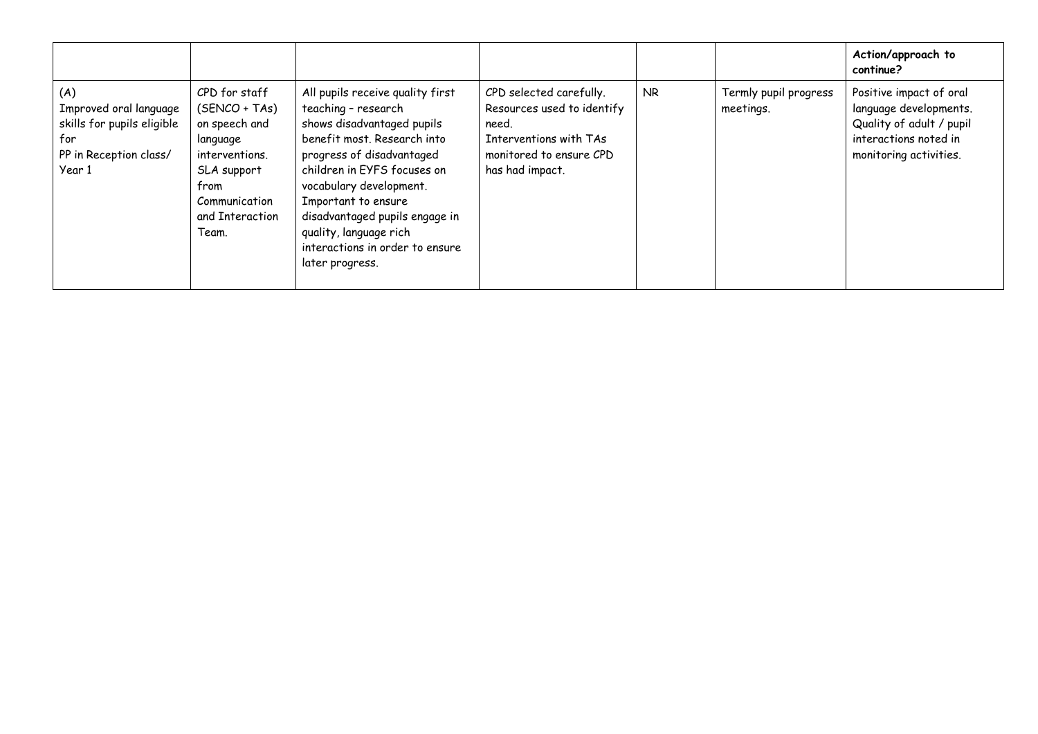|                                                                                                        |                                                                                                                                                     |                                                                                                                                                                                                                                                                                                                                                      |                                                                                                                                        |           |                                    | Action/approach to<br>continue?                                                                                                  |
|--------------------------------------------------------------------------------------------------------|-----------------------------------------------------------------------------------------------------------------------------------------------------|------------------------------------------------------------------------------------------------------------------------------------------------------------------------------------------------------------------------------------------------------------------------------------------------------------------------------------------------------|----------------------------------------------------------------------------------------------------------------------------------------|-----------|------------------------------------|----------------------------------------------------------------------------------------------------------------------------------|
| (A)<br>Improved oral language<br>skills for pupils eligible<br>for<br>PP in Reception class/<br>Year 1 | CPD for staff<br>$(SENCO + TAs)$<br>on speech and<br>language<br>interventions.<br>SLA support<br>from<br>Communication<br>and Interaction<br>Team. | All pupils receive quality first<br>teaching - research<br>shows disadvantaged pupils<br>benefit most. Research into<br>progress of disadvantaged<br>children in EYFS focuses on<br>vocabulary development.<br>Important to ensure<br>disadvantaged pupils engage in<br>quality, language rich<br>interactions in order to ensure<br>later progress. | CPD selected carefully.<br>Resources used to identify<br>need.<br>Interventions with TAs<br>monitored to ensure CPD<br>has had impact. | <b>NR</b> | Termly pupil progress<br>meetings. | Positive impact of oral<br>language developments.<br>Quality of adult / pupil<br>interactions noted in<br>monitoring activities. |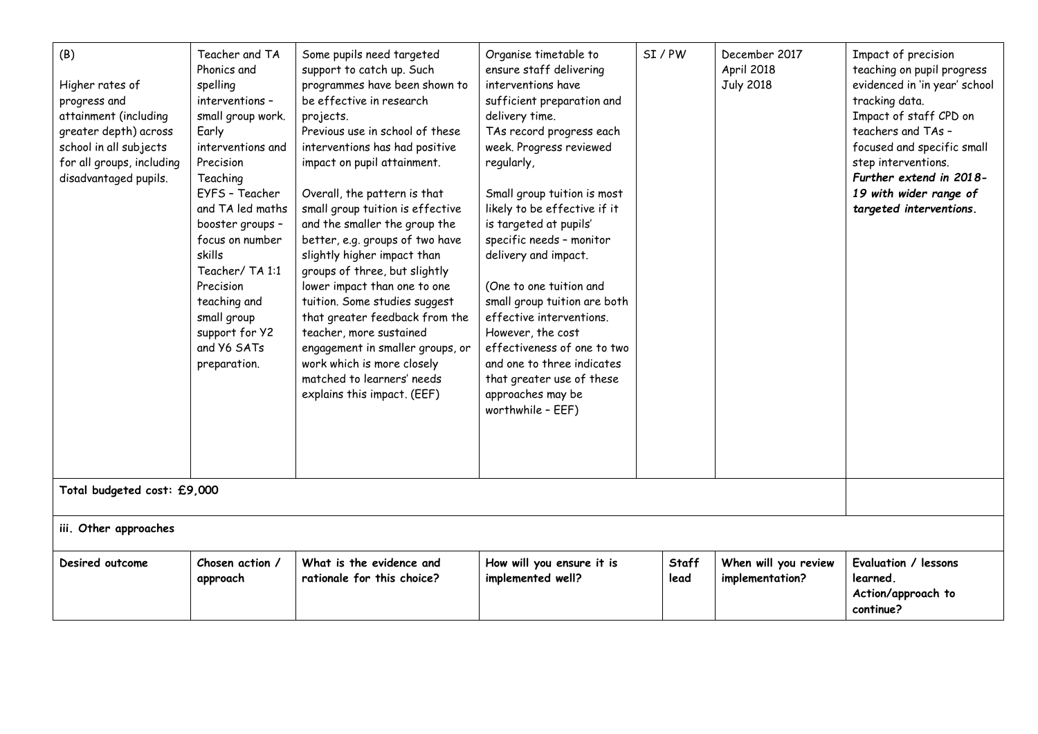| (B)<br>Higher rates of<br>progress and<br>attainment (including<br>greater depth) across<br>school in all subjects<br>for all groups, including<br>disadvantaged pupils.<br>Total budgeted cost: £9,000 | Teacher and TA<br>Phonics and<br>spelling<br>interventions -<br>small group work.<br>Early<br>interventions and<br>Precision<br>Teaching<br>EYFS - Teacher<br>and TA led maths<br>booster groups -<br>focus on number<br>skills<br>Teacher/TA 1:1<br>Precision<br>teaching and<br>small group<br>support for Y2<br>and Y6 SATs<br>preparation. | Some pupils need targeted<br>support to catch up. Such<br>programmes have been shown to<br>be effective in research<br>projects.<br>Previous use in school of these<br>interventions has had positive<br>impact on pupil attainment.<br>Overall, the pattern is that<br>small group tuition is effective<br>and the smaller the group the<br>better, e.g. groups of two have<br>slightly higher impact than<br>groups of three, but slightly<br>lower impact than one to one<br>tuition. Some studies suggest<br>that greater feedback from the<br>teacher, more sustained<br>engagement in smaller groups, or<br>work which is more closely<br>matched to learners' needs<br>explains this impact. (EEF) | Organise timetable to<br>ensure staff delivering<br>interventions have<br>sufficient preparation and<br>delivery time.<br>TAs record progress each<br>week. Progress reviewed<br>regularly,<br>Small group tuition is most<br>likely to be effective if it<br>is targeted at pupils'<br>specific needs - monitor<br>delivery and impact.<br>(One to one tuition and<br>small group tuition are both<br>effective interventions.<br>However, the cost<br>effectiveness of one to two<br>and one to three indicates<br>that greater use of these<br>approaches may be<br>worthwhile - EEF) | SI/PW         | December 2017<br>April 2018<br><b>July 2018</b> | Impact of precision<br>teaching on pupil progress<br>evidenced in 'in year' school<br>tracking data.<br>Impact of staff CPD on<br>teachers and TAs -<br>focused and specific small<br>step interventions.<br>Further extend in 2018-<br>19 with wider range of<br>targeted interventions. |  |  |  |
|---------------------------------------------------------------------------------------------------------------------------------------------------------------------------------------------------------|------------------------------------------------------------------------------------------------------------------------------------------------------------------------------------------------------------------------------------------------------------------------------------------------------------------------------------------------|-----------------------------------------------------------------------------------------------------------------------------------------------------------------------------------------------------------------------------------------------------------------------------------------------------------------------------------------------------------------------------------------------------------------------------------------------------------------------------------------------------------------------------------------------------------------------------------------------------------------------------------------------------------------------------------------------------------|------------------------------------------------------------------------------------------------------------------------------------------------------------------------------------------------------------------------------------------------------------------------------------------------------------------------------------------------------------------------------------------------------------------------------------------------------------------------------------------------------------------------------------------------------------------------------------------|---------------|-------------------------------------------------|-------------------------------------------------------------------------------------------------------------------------------------------------------------------------------------------------------------------------------------------------------------------------------------------|--|--|--|
|                                                                                                                                                                                                         |                                                                                                                                                                                                                                                                                                                                                |                                                                                                                                                                                                                                                                                                                                                                                                                                                                                                                                                                                                                                                                                                           |                                                                                                                                                                                                                                                                                                                                                                                                                                                                                                                                                                                          |               |                                                 |                                                                                                                                                                                                                                                                                           |  |  |  |
| iii. Other approaches                                                                                                                                                                                   |                                                                                                                                                                                                                                                                                                                                                |                                                                                                                                                                                                                                                                                                                                                                                                                                                                                                                                                                                                                                                                                                           |                                                                                                                                                                                                                                                                                                                                                                                                                                                                                                                                                                                          |               |                                                 |                                                                                                                                                                                                                                                                                           |  |  |  |
| Desired outcome                                                                                                                                                                                         | Chosen action /<br>approach                                                                                                                                                                                                                                                                                                                    | What is the evidence and<br>rationale for this choice?                                                                                                                                                                                                                                                                                                                                                                                                                                                                                                                                                                                                                                                    | How will you ensure it is<br>implemented well?                                                                                                                                                                                                                                                                                                                                                                                                                                                                                                                                           | Staff<br>lead | When will you review<br>implementation?         | Evaluation / lessons<br>learned.<br>Action/approach to<br>continue?                                                                                                                                                                                                                       |  |  |  |